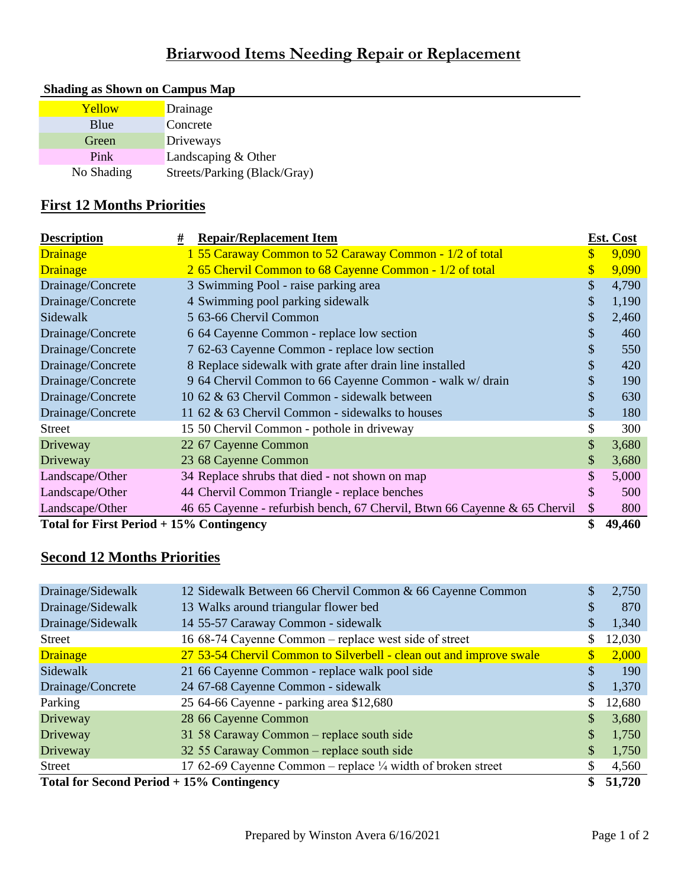# **Briarwood Items Needing Repair or Replacement**

| Yellow     | Drainage                     |
|------------|------------------------------|
| Blue       | Concrete                     |
| Green      | Driveways                    |
| Pink       | Landscaping & Other          |
| No Shading | Streets/Parking (Black/Gray) |

#### **Shading as Shown on Campus Map**

### **First 12 Months Priorities**

| <b>Description</b>                        | <b>Repair/Replacement Item</b><br>#                                       |                           | Est. Cost |
|-------------------------------------------|---------------------------------------------------------------------------|---------------------------|-----------|
| <b>Drainage</b>                           | 1 55 Caraway Common to 52 Caraway Common - 1/2 of total                   | $\boldsymbol{\mathsf{S}}$ | 9,090     |
| <b>Drainage</b>                           | 2 65 Chervil Common to 68 Cayenne Common - 1/2 of total                   | $\boldsymbol{\mathsf{S}}$ | 9,090     |
| Drainage/Concrete                         | 3 Swimming Pool - raise parking area                                      | \$                        | 4,790     |
| Drainage/Concrete                         | 4 Swimming pool parking sidewalk                                          | \$                        | 1,190     |
| Sidewalk                                  | 5 63-66 Chervil Common                                                    | \$                        | 2,460     |
| Drainage/Concrete                         | 6 64 Cayenne Common - replace low section                                 | \$                        | 460       |
| Drainage/Concrete                         | 7 62-63 Cayenne Common - replace low section                              | \$                        | 550       |
| Drainage/Concrete                         | 8 Replace sidewalk with grate after drain line installed                  | \$                        | 420       |
| Drainage/Concrete                         | 9 64 Chervil Common to 66 Cayenne Common - walk w/ drain                  | \$                        | 190       |
| Drainage/Concrete                         | 10 62 & 63 Chervil Common - sidewalk between                              | \$                        | 630       |
| Drainage/Concrete                         | 11 62 & 63 Chervil Common - sidewalks to houses                           | \$                        | 180       |
| Street                                    | 15 50 Chervil Common - pothole in driveway                                | \$                        | 300       |
| Driveway                                  | 22 67 Cayenne Common                                                      | \$                        | 3,680     |
| Driveway                                  | 23 68 Cayenne Common                                                      | \$                        | 3,680     |
| Landscape/Other                           | 34 Replace shrubs that died - not shown on map                            | \$                        | 5,000     |
| Landscape/Other                           | 44 Chervil Common Triangle - replace benches                              | \$                        | 500       |
| Landscape/Other                           | 46 65 Cayenne - refurbish bench, 67 Chervil, Btwn 66 Cayenne & 65 Chervil | \$                        | 800       |
| Total for First Period $+15%$ Contingency |                                                                           | \$                        | 49,460    |

#### **Second 12 Months Priorities**

| Drainage/Sidewalk                          | 12 Sidewalk Between 66 Chervil Common & 66 Cayenne Common              | S             | 2,750  |
|--------------------------------------------|------------------------------------------------------------------------|---------------|--------|
| Drainage/Sidewalk                          | 13 Walks around triangular flower bed                                  | S             | 870    |
| Drainage/Sidewalk                          | 14 55-57 Caraway Common - sidewalk                                     | S             | 1,340  |
| <b>Street</b>                              | 16 68-74 Cayenne Common - replace west side of street                  |               | 12,030 |
| <b>Drainage</b>                            | 27 53-54 Chervil Common to Silverbell - clean out and improve swale    | <sup>\$</sup> | 2,000  |
| Sidewalk                                   | 21 66 Cayenne Common - replace walk pool side                          | \$            | 190    |
| Drainage/Concrete                          | 24 67-68 Cayenne Common - sidewalk                                     | \$            | 1,370  |
| Parking                                    | 25 64-66 Cayenne - parking area \$12,680                               |               | 12,680 |
| <b>Driveway</b>                            | 28 66 Cayenne Common                                                   | \$            | 3,680  |
| Driveway                                   | 31 58 Caraway Common – replace south side                              | \$            | 1,750  |
| Driveway                                   | 32 55 Caraway Common – replace south side                              | \$            | 1,750  |
| <b>Street</b>                              | 17 62-69 Cayenne Common – replace $\frac{1}{4}$ width of broken street |               | 4,560  |
| Total for Second Period $+15%$ Contingency |                                                                        |               | 51,720 |